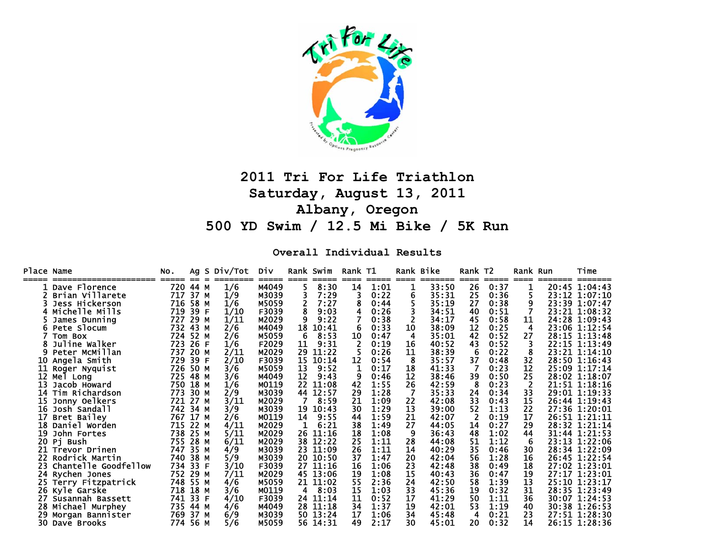

# **2011 Tri For Life Triathlon Saturday, August 13, 2011 Albany, Oregon 500 YD Swim / 12.5 Mi Bike / 5K Run**

**Overall Individual Results** 

| Place Name |                      | NO.<br>===== | $==$ | Ag S Div/Tot Div |       |             | Rank Swim | Rank T1 | ===== | $====$ | Rank Bike<br>======= | Rank T <sub>2</sub> | $====$ | Rank Run<br>$====$ | Time          |
|------------|----------------------|--------------|------|------------------|-------|-------------|-----------|---------|-------|--------|----------------------|---------------------|--------|--------------------|---------------|
|            | Dave Florence        | 720          | 44 M | 1/6              | M4049 | $====$<br>5 | 8:30      | 14      | 1:01  | 1      | 33:50                | ====<br>26          | 0:37   |                    | 20:45 1:04:43 |
|            | Brian Villarete      | 717          | 37 M | 1/9              | M3039 |             | 7:29      | 3       | 0:22  | 6      | 35:31                | 25                  | 0:36   | 5                  | 23:12 1:07:10 |
|            | Jess Hickerson       | 716          | 58   | 1/6<br>м         | M5059 | 2           | 7:27      |         | 0:44  |        | 35:19                | 27                  | 0:38   | 9                  | 23:39 1:07:47 |
|            | Michelle Mills       | 719          | 39   | 1/10<br>F        | F3039 | 8           | 9:03      | 4       | 0:26  |        | 34:51                | 40                  | 0:51   |                    | 23:21 1:08:32 |
|            | James Dunning        | 727          | 29 M | 1/11             | M2029 | 9           | 9:22      |         | 0:38  |        | 34:17                | 45                  | 0:58   | 11                 | 24:28 1:09:43 |
|            | Pete Slocum          | 732          | 43 M | 2/6              | M4049 | 18          | 10:41     | 6       | 0:33  | 10     | 38:09                | 12                  | 0:25   | 4                  | 23:06 1:12:54 |
|            | Tom Box              | 724          | 52   | 2/6<br>м         | M5059 | 6           | 8:53      | 10      | 0:47  | 4      | 35:01                | 42                  | 0:52   | 27                 | 28:15 1:13:48 |
|            | Juline Walker        | 723          | 26   | 1/6<br>-F        | F2029 | 11          | 9:31      |         | 0:19  | 16     | 40:52                | 43                  | 0:52   |                    | 22:15 1:13:49 |
|            | Peter McMillan       | 737          | 20 M | 2/11             | M2029 | 29          | 11:22     |         | 0:26  | 11     | 38:39                | 6                   | 0:22   | 8                  | 23:21 1:14:10 |
| 10         | Angela Smith         | 729          | 39   | 2/10<br>F        | F3039 | 15          | 10:14     | 12      | 0:54  | 8      | 35:57                | 37                  | 0:48   | 32                 | 28:50 1:16:43 |
| 11         | Roger Nyquist        | 726          | 50   | 3/6<br>М         | M5059 | 13          | 9:52      | 1       | 0:17  | 18     | 41:33                |                     | 0:23   | 12                 | 25:09 1:17:14 |
| 12         | Mel Long             | 725          | 48 M | 3/6              | M4049 | 12          | 9:43      | 9       | 0:46  | 12     | 38:46                | 39                  | 0:50   | 25                 | 28:02 1:18:07 |
| 13         | Jacob Howard         | 750          | 18 M | 1/6              | M0119 | 22          | 11:08     | 42      | 1:55  | 26     | 42:59                | 8                   | 0:23   | $\overline{2}$     | 21:51 1:18:16 |
| 14         | Tim Richardson       | 773          | 30   | 2/9<br>М         | M3039 | 44          | 12:57     | 29      | 1:28  |        | 35:33                | 24                  | 0:34   | 33                 | 29:01 1:19:33 |
| 15         | Jonny Oelkers        | 721          | 27 M | 3/11             | M2029 |             | 8:59      | 21      | 1:09  | 22     | 42:08                | 33                  | 0:43   | 15                 | 26:44 1:19:43 |
| 16         | Josh Sandall         | 742          | 34 M | 3/9              | M3039 | 19          | 10:43     | 30      | 1:29  | 13     | 39:00                | 52                  | 1:13   | 22                 | 27:36 1:20:01 |
| 17         | Bret Bailey          | 767          | 17   | 2/6<br>м         | M0119 | 14          | 9:55      | 44      | 1:59  | 21     | 42:07                | 2                   | 0:19   | 17                 | 26:51 1:21:11 |
| 18         | Daniel Worden        | 715          | 22 M | 4/11             | M2029 |             | 6:21      | 38      | 1:49  | 27     | 44:05                | 14                  | 0:27   | 29                 | 28:32 1:21:14 |
| 19         | John Fortes          | 738          | 25 M | 5/11             | M2029 | 26          | 11:16     | 18      | 1:08  | 9      | 36:43                | 48                  | 1:02   | 44                 | 31:44 1:21:53 |
| 20         | Pi Bush              | 755          | 28   | 6/11<br>M        | M2029 | 38          | 12:22     | 25      | 1:11  | 28     | 44:08                | 51                  | 1:12   | 6                  | 23:13 1:22:06 |
| 21         | Trevor Drinen        | 747          | 35 M | 4/9              | M3039 | 23          | 11:09     | 26      | 1:11  | 14     | 40:29                | 35                  | 0:46   | 30                 | 28:34 1:22:09 |
| 22         | Rodrick Martin       | 740          | 38 M | 5/9              | M3039 | 20          | 10:50     | 37      | 1:47  | 20     | 42:04                | 56                  | 1:28   | 16                 | 26:45 1:22:54 |
| 23         | Chantelle Goodfellow | 734          | 33   | 3/10<br>F        | F3039 | 27          | 11:16     | 16      | 1:06  | 23     | 42:48                | 38                  | 0:49   | 18                 | 27:02 1:23:01 |
|            | 24 Rychen Jones      | 752          | 29 M | 7/11             | M2029 |             | 45 13:06  | 19      | 1:08  | 15     | 40:43                | 36                  | 0:47   | 19                 | 27:17 1:23:01 |
|            | 25 Terry Fitzpatrick | 748          | 55 M | 4/6              | M5059 |             | 21 11:02  | 55      | 2:36  | 24     | 42:50                | 58                  | 1:39   | 13                 | 25:10 1:23:17 |
|            | 26 Kyle Garske       | 718          | 18   | 3/6<br>М         | M0119 | 4           | 8:03      | 15      | 1:03  | 33     | 45:36                | 19                  | 0:32   | 31                 | 28:35 1:23:49 |
| 27         | Susannah Bassett     | 741          | 33   | 4/10<br>F        | F3039 | 24          | 11:14     | 11      | 0:52  | 17     | 41:29                | 50                  | 1:11   | 36                 | 30:07 1:24:53 |
|            | 28 Michael Murphey   | 735          | 44 M | 4/6              | M4049 | 28.         | 11:18     | 34      | 1:37  | 19     | 42:01                | 53                  | 1:19   | 40                 | 30:38 1:26:53 |
| 29.        | Morgan Bannister     | 769          | 37 M | 6/9              | M3039 |             | 50 13:24  | 17      | 1:06  | 34     | 45:48                | 4                   | 0:21   | 23                 | 27:51 1:28:30 |
|            | 30 Dave Brooks       | 774          | 56 M | 5/6              | M5059 |             | 56 14:31  | 49      | 2:17  | 30     | 45:01                | 20                  | 0:32   | 14                 | 26:15 1:28:36 |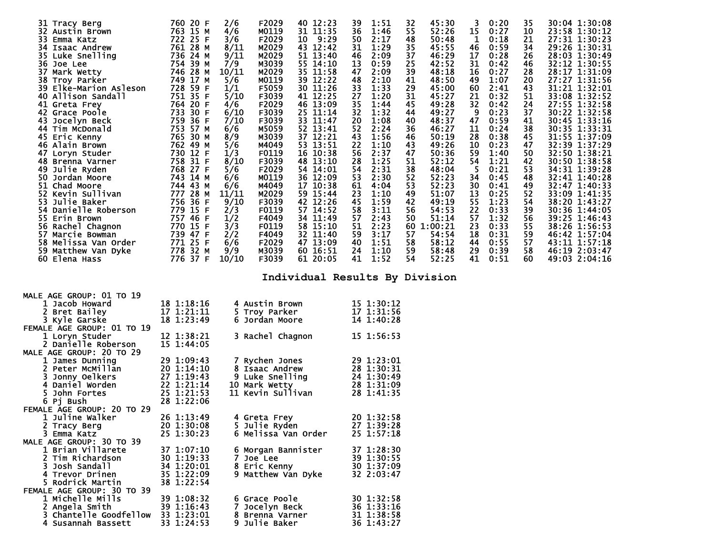| 31 Tracy Berg<br>32 Austin Brown<br>33 Emma Katz<br>34 Isaac Andrew<br>35 Luke Snelling<br>36 Joe Lee<br>37 Mark Wetty<br>38 Troy Parker<br>39 Elke-Marion Asleson<br>40 Allison Sandall<br>41 Greta Frey<br>42 Grace Poole<br>43 Jocelyn Beck<br>44 Tim McDonald<br>45 Eric Kenny<br>46 Alain Brown<br>47 Loryn Studer<br>48 Brenna Varner<br>49 Julie Ryden<br>50 Jordan Moore<br>51 Chad Moore<br>52 Kevin Sullivan<br>53 Julie Baker<br>54 Danielle Roberson<br>55 Erin Brown<br>56 Rachel Chagnon<br>57 Marcie Bowman<br>58 Melissa Van Order<br>59 Matthew Van Dyke<br>60 Elena Hass<br>60 Elena Hass | 760 20 F<br>763 15 M<br>722 25 F<br>761 28 M<br>736 24 M<br>754 39 M<br>746 28 M<br>749 17 M<br>728 59 F<br>751 35 F<br>764 20 F<br>733 30 F<br>759 36 F<br>753 57 M<br>765 30 M<br>762 49 M<br>730 12 F<br>758 31 F<br>768 27 F<br>743 14 M<br>744 43 M<br>777 28 M<br>756 36 F<br>779 15 F<br>757 46 F<br>770 15 F<br>739 47 F<br>771 25 F<br>778 32 M<br>776 37 F | F2029<br>2/6<br>M0119<br>4/6<br>F2029<br>3/6<br>8/11<br>M2029<br>9/11<br>M2029<br>M3039<br>7/9<br>10/11<br>M2029<br>5/6<br>M0119<br>1/1<br>F5059<br>5/10<br>F3039<br>4/6<br>F2029<br>F3039<br>6/10<br>7/10<br>F3039<br>6/6<br>M5059<br>8/9<br>M3039<br>5/6<br>M4049<br>1/3<br>F0119<br>8/10<br>F3039<br>5/6<br>F2029<br>6/6<br>M0119<br>6/6<br>M4049<br>11/11<br>M2029<br>9/10<br>F3039<br>2/3<br>F0119<br>1/2<br>F4049<br>3/3<br>F0119<br>2/2<br>F4049<br>6/6<br>F2029<br>9/9<br>M3039<br>10/10<br>F3039 | 40 12:23<br>31 11:35<br>10 9:29<br>43 12:42<br>51 13:40<br>55 14:10<br>35 11:58<br>39 12:22<br>30 11:26<br>41 12:25<br>46 13:09<br>25 11:14<br>33 11:47<br>52 13:41<br>37 12:21<br>53 13:51<br>16 10:38<br>48 13:10<br>54 14:01<br>36 12:09<br>17 10:38<br>59 15:44<br>42 12:26<br>57 14:52<br>34 11:49<br>58 15:10<br>32 11:40<br>47 13:09<br>60 16:51<br>61 20:05 | 39<br>1:51<br>36<br>1:46<br>50<br>2:17<br>31<br>1:29<br>46<br>2:09<br>13<br>0:59<br>47<br>2:09<br>48<br>2:10<br>33<br>1:33<br>27<br>1:20<br>35<br>1:44<br>32<br>1:32<br>20<br>1:08<br>52<br>2:24<br>43<br>1:56<br>22<br>1:10<br>56<br>2:37<br>1:25<br>28<br>54<br>2:31<br>53<br>2:30<br>61<br>4:04<br>23<br>1:10<br>45<br>1:59<br>58<br>3:11<br>57<br>2:43<br>51<br>2:23<br>59<br>3:17<br>1:51<br>40<br>24<br>1:10<br>41<br>1:52 | 45:30<br>32<br>52:26<br>55<br>48<br>50:48<br>45:55<br>35<br>37<br>46:29<br>25<br>42:52<br>39<br>48:18<br>41<br>48:50<br>29<br>45:00<br>31<br>45:27<br>45<br>49:28<br>49:27<br>44<br>48:37<br>40<br>36<br>46:27<br>46<br>50:19<br>43<br>49:26<br>47<br>50:36<br>52:12<br>51<br>38<br>48:04<br>52<br>52:23<br>53<br>52:23<br>49<br>51:07<br>49:19<br>42<br>54:53<br>56<br>50<br>51:14<br>60 1:00:21<br>57<br>54:54<br>58<br>58:12<br>59<br>58:48<br>54<br>52:25 | 3.<br>0:20<br>15<br>0:27<br>$\mathbf{1}$<br>0:18<br>46<br>0:59<br>17<br>0:28<br>31<br>0:42<br>16<br>0:27<br>49<br>1:07<br>60<br>2:41<br>21<br>0:32<br>32<br>0:42<br>9<br>0:23<br>47<br>0:59<br>11<br>0:24<br>28<br>0:38<br>10<br>0:23<br>59<br>1:40<br>54<br>1:21<br>$5^{\circ}$<br>0:21<br>34<br>0:45<br>30 <sub>2</sub><br>0:41<br>13<br>0:25<br>55<br>1:23<br>22<br>0:33<br>57<br>1:32<br>23<br>0:33<br>18<br>0:31<br>44<br>0:55<br>29<br>0:39<br>41<br>0:51 | 35<br>10<br>21<br>34<br>26<br>46<br>28<br>20<br>43<br>51<br>24<br>37<br>41<br>38<br>45<br>47<br>50<br>42<br>53<br>48<br>49<br>52<br>54<br>39<br>56<br>55<br>59<br>57<br>58<br>60 | 30:04 1:30:08<br>23:58 1:30:12<br>27:31 1:30:23<br>29:26 1:30:31<br>28:03 1:30:49<br>32:12 1:30:55<br>28:17 1:31:09<br>27:27 1:31:56<br>31:21 1:32:01<br>33:08 1:32:52<br>27:55 1:32:58<br>30:22 1:32:58<br>30:45 1:33:16<br>30:35 1:33:31<br>31:55 1:37:09<br>32:39 1:37:29<br>32:50 1:38:21<br>30:50 1:38:58<br>34:31 1:39:28<br>32:41 1:40:28<br>32:47 1:40:33<br>33:09 1:41:35<br>38:20 1:43:27<br>30:36 1:44:05<br>39:25 1:46:43<br>38:26 1:56:53<br>46:42 1:57:04<br>43:11 1:57:18<br>46:19 2:03:47<br>49:03 2:04:16 |
|-------------------------------------------------------------------------------------------------------------------------------------------------------------------------------------------------------------------------------------------------------------------------------------------------------------------------------------------------------------------------------------------------------------------------------------------------------------------------------------------------------------------------------------------------------------------------------------------------------------|----------------------------------------------------------------------------------------------------------------------------------------------------------------------------------------------------------------------------------------------------------------------------------------------------------------------------------------------------------------------|-----------------------------------------------------------------------------------------------------------------------------------------------------------------------------------------------------------------------------------------------------------------------------------------------------------------------------------------------------------------------------------------------------------------------------------------------------------------------------------------------------------|---------------------------------------------------------------------------------------------------------------------------------------------------------------------------------------------------------------------------------------------------------------------------------------------------------------------------------------------------------------------|----------------------------------------------------------------------------------------------------------------------------------------------------------------------------------------------------------------------------------------------------------------------------------------------------------------------------------------------------------------------------------------------------------------------------------|---------------------------------------------------------------------------------------------------------------------------------------------------------------------------------------------------------------------------------------------------------------------------------------------------------------------------------------------------------------------------------------------------------------------------------------------------------------|-----------------------------------------------------------------------------------------------------------------------------------------------------------------------------------------------------------------------------------------------------------------------------------------------------------------------------------------------------------------------------------------------------------------------------------------------------------------|----------------------------------------------------------------------------------------------------------------------------------------------------------------------------------|----------------------------------------------------------------------------------------------------------------------------------------------------------------------------------------------------------------------------------------------------------------------------------------------------------------------------------------------------------------------------------------------------------------------------------------------------------------------------------------------------------------------------|
|                                                                                                                                                                                                                                                                                                                                                                                                                                                                                                                                                                                                             |                                                                                                                                                                                                                                                                                                                                                                      |                                                                                                                                                                                                                                                                                                                                                                                                                                                                                                           |                                                                                                                                                                                                                                                                                                                                                                     |                                                                                                                                                                                                                                                                                                                                                                                                                                  | Individual Results By Division                                                                                                                                                                                                                                                                                                                                                                                                                                |                                                                                                                                                                                                                                                                                                                                                                                                                                                                 |                                                                                                                                                                                  |                                                                                                                                                                                                                                                                                                                                                                                                                                                                                                                            |
| <b>MALE AGE GROUP: 01 TO 19</b><br>1 Jacob Howard<br>2 Bret Bailey<br>3 Kyle Garske<br>FEMALE AGE GROUP: 01 TO 19                                                                                                                                                                                                                                                                                                                                                                                                                                                                                           | 18 1:18:16<br>17 1:21:11<br>18 1:23:49                                                                                                                                                                                                                                                                                                                               | 4 Austin Brown<br>5 Troy Parker<br>6 Jordan Moore                                                                                                                                                                                                                                                                                                                                                                                                                                                         |                                                                                                                                                                                                                                                                                                                                                                     | 15 1:30:12<br>17 1:31:56<br>14 1:40:28                                                                                                                                                                                                                                                                                                                                                                                           |                                                                                                                                                                                                                                                                                                                                                                                                                                                               |                                                                                                                                                                                                                                                                                                                                                                                                                                                                 |                                                                                                                                                                                  |                                                                                                                                                                                                                                                                                                                                                                                                                                                                                                                            |
| 1 Loryn Studer<br>2 Danielle Roberson<br><b>MALE AGE GROUP: 20 TO 29</b>                                                                                                                                                                                                                                                                                                                                                                                                                                                                                                                                    | 12 1:38:21<br>15 1:44:05                                                                                                                                                                                                                                                                                                                                             | 3 Rachel Chagnon                                                                                                                                                                                                                                                                                                                                                                                                                                                                                          |                                                                                                                                                                                                                                                                                                                                                                     | 15 1:56:53                                                                                                                                                                                                                                                                                                                                                                                                                       |                                                                                                                                                                                                                                                                                                                                                                                                                                                               |                                                                                                                                                                                                                                                                                                                                                                                                                                                                 |                                                                                                                                                                                  |                                                                                                                                                                                                                                                                                                                                                                                                                                                                                                                            |
| 1 James Dunning<br>2 Peter McMillan<br>3 Jonny Oelkers<br>4 Daniel Worden<br>5 John Fortes<br>6 Pj Bush                                                                                                                                                                                                                                                                                                                                                                                                                                                                                                     | 29 1:09:43<br>20 1:14:10<br>27 1:19:43<br>22 1:21:14<br>25 1:21:53<br>28 1:22:06                                                                                                                                                                                                                                                                                     | 7 Rychen Jones<br>8 Isaac Andrew<br>9 Luke Snelling<br>10 Mark Wetty<br>11 Kevin Sullivan                                                                                                                                                                                                                                                                                                                                                                                                                 |                                                                                                                                                                                                                                                                                                                                                                     | 29 1:23:01<br>28 1:30:31<br>24 1:30:49<br>28 1:31:09<br>28 1:41:35                                                                                                                                                                                                                                                                                                                                                               |                                                                                                                                                                                                                                                                                                                                                                                                                                                               |                                                                                                                                                                                                                                                                                                                                                                                                                                                                 |                                                                                                                                                                                  |                                                                                                                                                                                                                                                                                                                                                                                                                                                                                                                            |
| FEMALE AGE GROUP: 20 TO 29<br>1 Juline Walker<br>2 Tracy Berg<br>3 Emma Katz                                                                                                                                                                                                                                                                                                                                                                                                                                                                                                                                | 26 1:13:49<br>20 1:30:08<br>25 1:30:23                                                                                                                                                                                                                                                                                                                               | 4 Greta Frey<br>5 Julie Ryden<br>6 Melissa Van Order                                                                                                                                                                                                                                                                                                                                                                                                                                                      |                                                                                                                                                                                                                                                                                                                                                                     | 20 1:32:58<br>27 1:39:28<br>25 1:57:18                                                                                                                                                                                                                                                                                                                                                                                           |                                                                                                                                                                                                                                                                                                                                                                                                                                                               |                                                                                                                                                                                                                                                                                                                                                                                                                                                                 |                                                                                                                                                                                  |                                                                                                                                                                                                                                                                                                                                                                                                                                                                                                                            |
| MALE AGE GROUP: 30 TO 39<br>1 Brian Villarete<br>2 Tim Richardson<br>3 Josh Sandall<br>4 Trevor Drinen<br>5 Rodrick Martin<br>FEMALE AGE GROUP: 30 TO 39                                                                                                                                                                                                                                                                                                                                                                                                                                                    | 37 1:07:10<br>30 1:19:33<br>34 1:20:01<br>35 1:22:09<br>38 1:22:54                                                                                                                                                                                                                                                                                                   | 6 Morgan Bannister<br>7 Joe Lee<br>8 Eric Kenny<br>9 Matthew Van Dyke                                                                                                                                                                                                                                                                                                                                                                                                                                     |                                                                                                                                                                                                                                                                                                                                                                     | 37 1:28:30<br>39 1:30:55<br>30 1:37:09<br>32 2:03:47                                                                                                                                                                                                                                                                                                                                                                             |                                                                                                                                                                                                                                                                                                                                                                                                                                                               |                                                                                                                                                                                                                                                                                                                                                                                                                                                                 |                                                                                                                                                                                  |                                                                                                                                                                                                                                                                                                                                                                                                                                                                                                                            |
| 1 Michelle Mills<br>2 Angela Smith<br>3 Chantelle Goodfellow<br>4 Susannah Bassett                                                                                                                                                                                                                                                                                                                                                                                                                                                                                                                          | 39 1:08:32<br>39 1:16:43<br>33 1:23:01<br>33 1:24:53                                                                                                                                                                                                                                                                                                                 | 6 Grace Poole<br>7 Jocelyn Beck<br>8 Brenna Varner<br>9 Julie Baker                                                                                                                                                                                                                                                                                                                                                                                                                                       |                                                                                                                                                                                                                                                                                                                                                                     | 30 1:32:58<br>36 1:33:16<br>31 1:38:58<br>36 1:43:27                                                                                                                                                                                                                                                                                                                                                                             |                                                                                                                                                                                                                                                                                                                                                                                                                                                               |                                                                                                                                                                                                                                                                                                                                                                                                                                                                 |                                                                                                                                                                                  |                                                                                                                                                                                                                                                                                                                                                                                                                                                                                                                            |